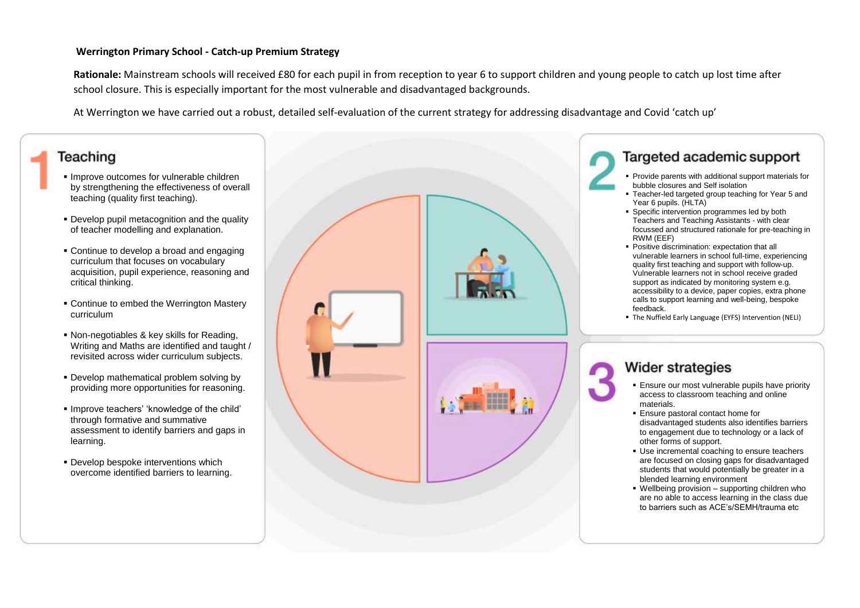#### **Werrington Primary School - Catch-up Premium Strategy**

**Rationale:** Mainstream schools will received £80 for each pupil in from reception to year 6 to support children and young people to catch up lost time after school closure. This is especially important for the most vulnerable and disadvantaged backgrounds.

At Werrington we have carried out a robust, detailed self-evaluation of the current strategy for addressing disadvantage and Covid 'catch up'

# Teaching

- **Improve outcomes for vulnerable children** by strengthening the effectiveness of overall teaching (quality first teaching).
- **Develop pupil metacognition and the quality** of teacher modelling and explanation.
- Continue to develop a broad and engaging curriculum that focuses on vocabulary acquisition, pupil experience, reasoning and critical thinking.
- Continue to embed the Werrington Mastery curriculum
- Non-negotiables & key skills for Reading, Writing and Maths are identified and taught / revisited across wider curriculum subjects.
- Develop mathematical problem solving by providing more opportunities for reasoning.
- Improve teachers' 'knowledge of the child' through formative and summative assessment to identify barriers and gaps in learning.
- **Develop bespoke interventions which** overcome identified barriers to learning.



## Targeted academic support

- Provide parents with additional support materials for bubble closures and Self isolation
- Teacher-led targeted group teaching for Year 5 and Year 6 pupils. (HLTA)
- **Specific intervention programmes led by both** Teachers and Teaching Assistants - with clear focussed and structured rationale for pre-teaching in RWM (EEF)
- **Positive discrimination: expectation that all** vulnerable learners in school full-time, experiencing quality first teaching and support with follow-up. Vulnerable learners not in school receive graded support as indicated by monitoring system e.g. accessibility to a device, paper copies, extra phone calls to support learning and well-being, bespoke feedback.
- The Nuffield Early Language (EYFS) Intervention (NELI)

# **Wider strategies**

- **Ensure our most vulnerable pupils have priority** access to classroom teaching and online materials.
- **Ensure pastoral contact home for** disadvantaged students also identifies barriers to engagement due to technology or a lack of other forms of support.
- Use incremental coaching to ensure teachers are focused on closing gaps for disadvantaged students that would potentially be greater in a blended learning environment
- Wellbeing provision supporting children who are no able to access learning in the class due to barriers such as ACE's/SEMH/trauma etc